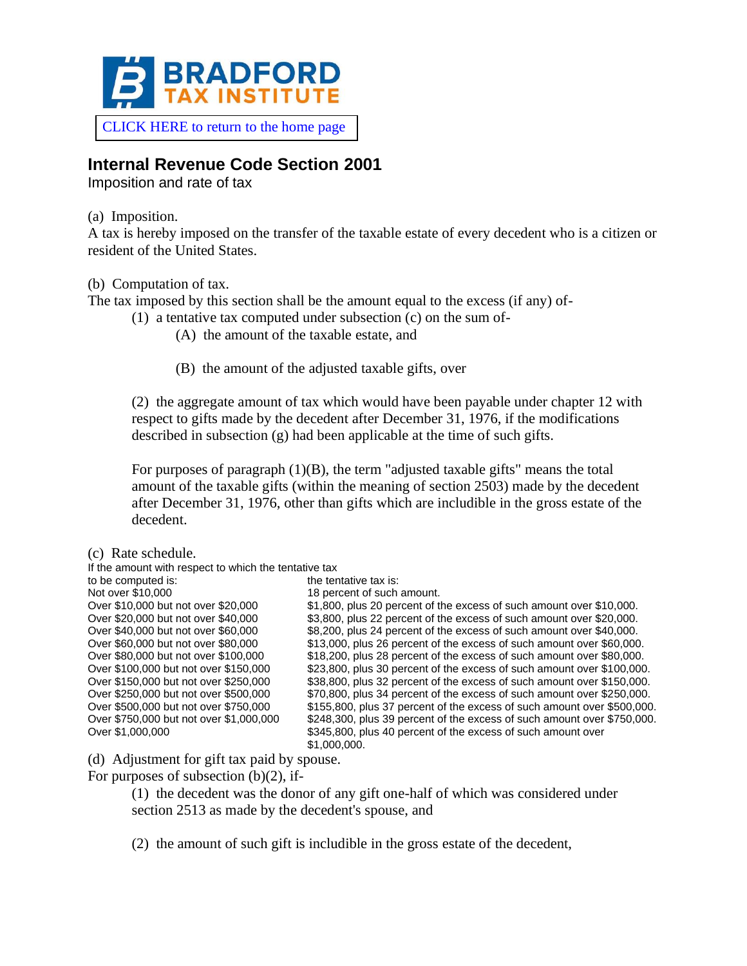

[CLICK HERE to return to the home page](https://www.bradfordtaxinstitute.com)

## **Internal Revenue Code Section 2001**

Imposition and rate of tax

(a) Imposition.

A tax is hereby imposed on the transfer of the taxable estate of every decedent who is a citizen or resident of the United States.

(b) Computation of tax.

The tax imposed by this section shall be the amount equal to the excess (if any) of-

(1) a tentative tax computed under subsection (c) on the sum of-

(A) the amount of the taxable estate, and

(B) the amount of the adjusted taxable gifts, over

(2) the aggregate amount of tax which would have been payable under chapter 12 with respect to gifts made by the decedent after December 31, 1976, if the modifications described in subsection (g) had been applicable at the time of such gifts.

For purposes of paragraph  $(1)(B)$ , the term "adjusted taxable gifts" means the total amount of the taxable gifts (within the meaning of section 2503) made by the decedent after December 31, 1976, other than gifts which are includible in the gross estate of the decedent.

(c) Rate schedule.

| If the amount with respect to which the tentative tax |                                                                         |
|-------------------------------------------------------|-------------------------------------------------------------------------|
| to be computed is:                                    | the tentative tax is:                                                   |
| Not over \$10,000                                     | 18 percent of such amount.                                              |
| Over \$10,000 but not over \$20,000                   | \$1,800, plus 20 percent of the excess of such amount over \$10,000.    |
| Over \$20,000 but not over \$40,000                   | \$3,800, plus 22 percent of the excess of such amount over \$20,000.    |
| Over \$40,000 but not over \$60,000                   | \$8,200, plus 24 percent of the excess of such amount over \$40,000.    |
| Over \$60,000 but not over \$80,000                   | \$13,000, plus 26 percent of the excess of such amount over \$60,000.   |
| Over \$80,000 but not over \$100,000                  | \$18,200, plus 28 percent of the excess of such amount over \$80,000.   |
| Over \$100,000 but not over \$150,000                 | \$23,800, plus 30 percent of the excess of such amount over \$100,000.  |
| Over \$150,000 but not over \$250,000                 | \$38,800, plus 32 percent of the excess of such amount over \$150,000.  |
| Over \$250,000 but not over \$500,000                 | \$70,800, plus 34 percent of the excess of such amount over \$250,000.  |
| Over \$500,000 but not over \$750,000                 | \$155,800, plus 37 percent of the excess of such amount over \$500,000. |
| Over \$750,000 but not over \$1,000,000               | \$248,300, plus 39 percent of the excess of such amount over \$750,000. |
| Over \$1,000,000                                      | \$345,800, plus 40 percent of the excess of such amount over            |
|                                                       | \$1,000,000.                                                            |

(d) Adjustment for gift tax paid by spouse.

For purposes of subsection  $(b)(2)$ , if-

(1) the decedent was the donor of any gift one-half of which was considered under section 2513 as made by the decedent's spouse, and

(2) the amount of such gift is includible in the gross estate of the decedent,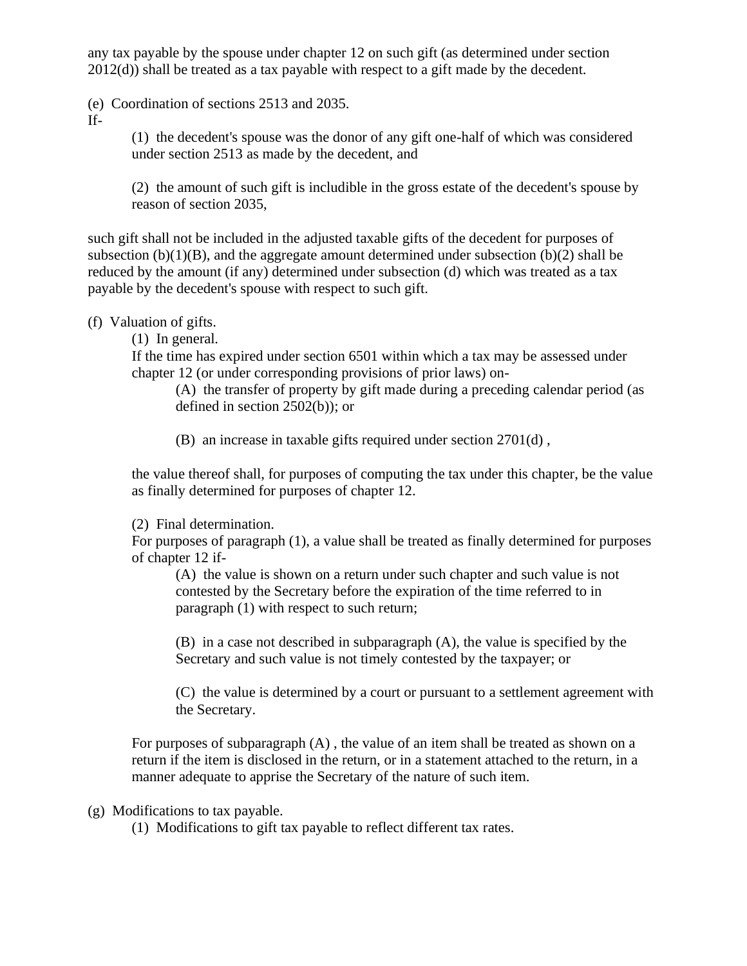any tax payable by the spouse under chapter 12 on such gift (as determined under section 2012(d)) shall be treated as a tax payable with respect to a gift made by the decedent.

(e) Coordination of sections 2513 and 2035.

If-

(1) the decedent's spouse was the donor of any gift one-half of which was considered under section 2513 as made by the decedent, and

(2) the amount of such gift is includible in the gross estate of the decedent's spouse by reason of section 2035,

such gift shall not be included in the adjusted taxable gifts of the decedent for purposes of subsection  $(b)(1)(B)$ , and the aggregate amount determined under subsection  $(b)(2)$  shall be reduced by the amount (if any) determined under subsection (d) which was treated as a tax payable by the decedent's spouse with respect to such gift.

(f) Valuation of gifts.

(1) In general.

If the time has expired under section 6501 within which a tax may be assessed under chapter 12 (or under corresponding provisions of prior laws) on-

(A) the transfer of property by gift made during a preceding calendar period (as defined in section 2502(b)); or

(B) an increase in taxable gifts required under section 2701(d) ,

the value thereof shall, for purposes of computing the tax under this chapter, be the value as finally determined for purposes of chapter 12.

(2) Final determination.

For purposes of paragraph (1), a value shall be treated as finally determined for purposes of chapter 12 if-

(A) the value is shown on a return under such chapter and such value is not contested by the Secretary before the expiration of the time referred to in paragraph (1) with respect to such return;

(B) in a case not described in subparagraph (A), the value is specified by the Secretary and such value is not timely contested by the taxpayer; or

(C) the value is determined by a court or pursuant to a settlement agreement with the Secretary.

For purposes of subparagraph (A) , the value of an item shall be treated as shown on a return if the item is disclosed in the return, or in a statement attached to the return, in a manner adequate to apprise the Secretary of the nature of such item.

(g) Modifications to tax payable.

(1) Modifications to gift tax payable to reflect different tax rates.